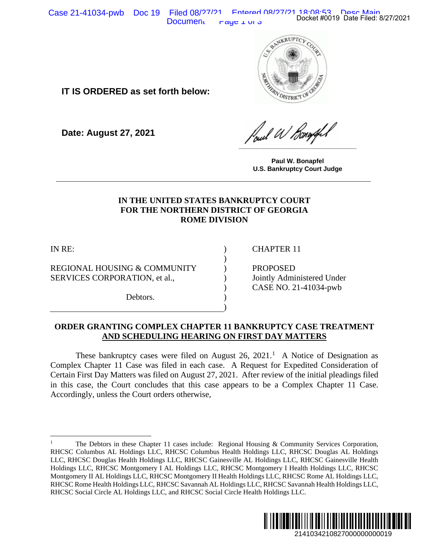Case 21-41034-pwb Doc 19 Filed 08/27/21 Entered 08/27/21 18:08:53 Desc Main<br>Docket #0019 Date Filed: 8/27/2021 Document  $\Gamma$  raye  $\Gamma$  or  $\sigma$ 



**IT IS ORDERED as set forth below:**

**Date: August 27, 2021**

**\_\_\_\_\_\_\_\_\_\_\_\_\_\_\_\_\_\_\_\_\_\_\_\_\_\_\_\_\_\_\_\_\_**

**Paul W. Bonapfel U.S. Bankruptcy Court Judge**

# **IN THE UNITED STATES BANKRUPTCY COURT FOR THE NORTHERN DISTRICT OF GEORGIA ROME DIVISION**

**\_\_\_\_\_\_\_\_\_\_\_\_\_\_\_\_\_\_\_\_\_\_\_\_\_\_\_\_\_\_\_\_\_\_\_\_\_\_\_\_\_\_\_\_\_\_\_\_\_\_\_\_\_\_\_\_\_\_\_\_\_\_\_**

) ) ) ) ) ) )

IN RE:

REGIONAL HOUSING & COMMUNITY SERVICES CORPORATION, et al.,

Debtors.

CHAPTER 11

PROPOSED Jointly Administered Under CASE NO. 21-41034-pwb

#### **ORDER GRANTING COMPLEX CHAPTER 11 BANKRUPTCY CASE TREATMENT AND SCHEDULING HEARING ON FIRST DAY MATTERS**

<span id="page-0-0"></span>These bankruptcy cases were filed on August 26,  $2021<sup>1</sup>$  $2021<sup>1</sup>$  $2021<sup>1</sup>$  A Notice of Designation as Complex Chapter 11 Case was filed in each case. A Request for Expedited Consideration of Certain First Day Matters was filed on August 27, 2021. After review of the initial pleadings filed in this case, the Court concludes that this case appears to be a Complex Chapter 11 Case. Accordingly, unless the Court orders otherwise,

<sup>1</sup> The Debtors in these Chapter 11 cases include: Regional Housing & Community Services Corporation, RHCSC Columbus AL Holdings LLC, RHCSC Columbus Health Holdings LLC, RHCSC Douglas AL Holdings LLC, RHCSC Douglas Health Holdings LLC, RHCSC Gainesville AL Holdings LLC, RHCSC Gainesville Health Holdings LLC, RHCSC Montgomery I AL Holdings LLC, RHCSC Montgomery I Health Holdings LLC, RHCSC Montgomery II AL Holdings LLC, RHCSC Montgomery II Health Holdings LLC, RHCSC Rome AL Holdings LLC, RHCSC Rome Health Holdings LLC, RHCSC Savannah AL Holdings LLC, RHCSC Savannah Health Holdings LLC, RHCSC Social Circle AL Holdings LLC, and RHCSC Social Circle Health Holdings LLC. Docket #0019 Date Filed: 8/27/2021<br>
2021<br>
2022<br>
2022<br>
2022<br>
2022<br>
2022<br>
2022<br>
2022<br>
2022<br>
2023<br>
2023<br>
2023<br>
2023<br>
2141034210827000000000019<br>
21410342108270000000000019<br>
21410342108270000000000019<br>
2141034210827000000000001

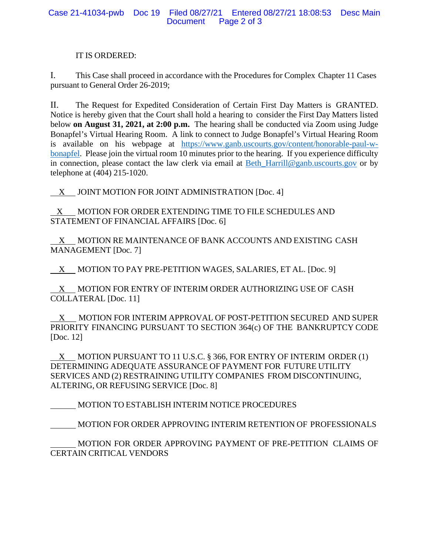### IT IS ORDERED:

I. This Case shall proceed in accordance with the Procedures for Complex Chapter 11 Cases pursuant to General Order 26-2019;

II. The Request for Expedited Consideration of Certain First Day Matters is GRANTED. Notice is hereby given that the Court shall hold a hearing to consider the First Day Matters listed below **on August 31, 2021, at 2:00 p.m.** The hearing shall be conducted via Zoom using Judge Bonapfel's Virtual Hearing Room. A link to connect to Judge Bonapfel's Virtual Hearing Room is available on his webpage at [https://www.ganb.uscourts.gov/content/honorable-paul-w](https://www.ganb.uscourts.gov/content/honorable-paul-w-bonapfel)[bonapfel.](https://www.ganb.uscourts.gov/content/honorable-paul-w-bonapfel) Please join the virtual room 10 minutes prior to the hearing. If you experience difficulty in connection, please contact the law clerk via email at [Beth\\_Harrill@ganb.uscourts.gov](mailto:Beth_Harrill@ganb.uscourts.gov) or by telephone at (404) 215-1020.

 $X$  JOINT MOTION FOR JOINT ADMINISTRATION [Doc. 4]

 $X$  MOTION FOR ORDER EXTENDING TIME TO FILE SCHEDULES AND STATEMENT OF FINANCIAL AFFAIRS [Doc. 6]

 X MOTION RE MAINTENANCE OF BANK ACCOUNTS AND EXISTING CASH MANAGEMENT [Doc. 7]

 $X$  MOTION TO PAY PRE-PETITION WAGES, SALARIES, ET AL. [Doc. 9]

 X MOTION FOR ENTRY OF INTERIM ORDER AUTHORIZING USE OF CASH COLLATERAL [Doc. 11]

 X MOTION FOR INTERIM APPROVAL OF POST-PETITION SECURED AND SUPER PRIORITY FINANCING PURSUANT TO SECTION 364(c) OF THE BANKRUPTCY CODE [Doc. 12]

X MOTION PURSUANT TO 11 U.S.C. § 366, FOR ENTRY OF INTERIM ORDER (1) DETERMINING ADEQUATE ASSURANCE OF PAYMENT FOR FUTURE UTILITY SERVICES AND (2) RESTRAINING UTILITY COMPANIES FROM DISCONTINUING, ALTERING, OR REFUSING SERVICE [Doc. 8]

MOTION TO ESTABLISH INTERIM NOTICE PROCEDURES

MOTION FOR ORDER APPROVING INTERIM RETENTION OF PROFESSIONALS

MOTION FOR ORDER APPROVING PAYMENT OF PRE-PETITION CLAIMS OF CERTAIN CRITICAL VENDORS